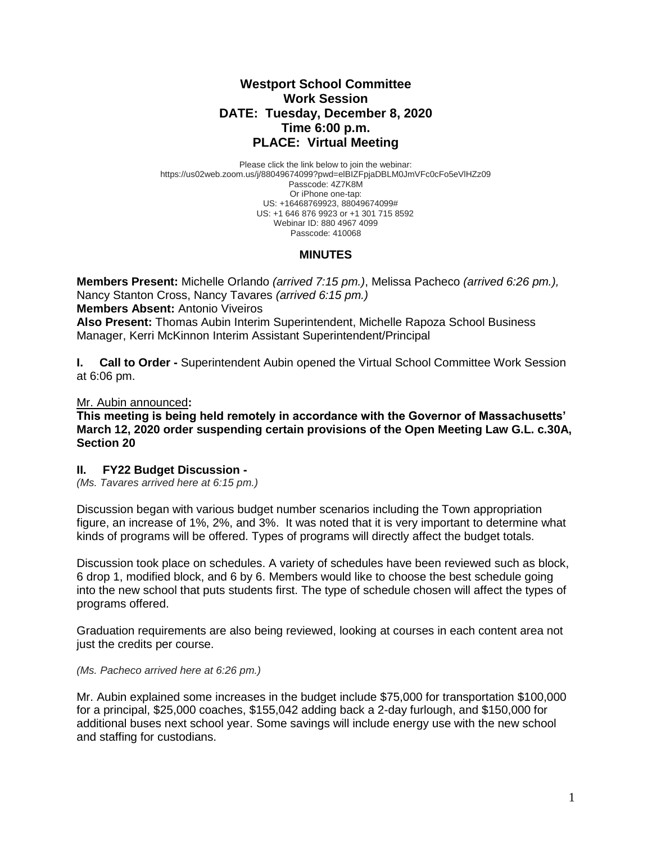## **Westport School Committee Work Session DATE: Tuesday, December 8, 2020 Time 6:00 p.m. PLACE: Virtual Meeting**

Please click the link below to join the webinar: https://us02web.zoom.us/j/88049674099?pwd=elBIZFpjaDBLM0JmVFc0cFo5eVlHZz09 Passcode: 4Z7K8M Or iPhone one-tap: US: +16468769923, 88049674099# US: +1 646 876 9923 or +1 301 715 8592 Webinar ID: 880 4967 4099 Passcode: 410068

## **MINUTES**

**Members Present:** Michelle Orlando *(arrived 7:15 pm.)*, Melissa Pacheco *(arrived 6:26 pm.),*  Nancy Stanton Cross, Nancy Tavares *(arrived 6:15 pm.)* **Members Absent:** Antonio Viveiros

**Also Present:** Thomas Aubin Interim Superintendent, Michelle Rapoza School Business Manager, Kerri McKinnon Interim Assistant Superintendent/Principal

**I. Call to Order -** Superintendent Aubin opened the Virtual School Committee Work Session at 6:06 pm.

Mr. Aubin announced**:** 

**This meeting is being held remotely in accordance with the Governor of Massachusetts' March 12, 2020 order suspending certain provisions of the Open Meeting Law G.L. c.30A, Section 20**

## **II. FY22 Budget Discussion -**

*(Ms. Tavares arrived here at 6:15 pm.)*

Discussion began with various budget number scenarios including the Town appropriation figure, an increase of 1%, 2%, and 3%. It was noted that it is very important to determine what kinds of programs will be offered. Types of programs will directly affect the budget totals.

Discussion took place on schedules. A variety of schedules have been reviewed such as block, 6 drop 1, modified block, and 6 by 6. Members would like to choose the best schedule going into the new school that puts students first. The type of schedule chosen will affect the types of programs offered.

Graduation requirements are also being reviewed, looking at courses in each content area not just the credits per course.

*(Ms. Pacheco arrived here at 6:26 pm.)*

Mr. Aubin explained some increases in the budget include \$75,000 for transportation \$100,000 for a principal, \$25,000 coaches, \$155,042 adding back a 2-day furlough, and \$150,000 for additional buses next school year. Some savings will include energy use with the new school and staffing for custodians.